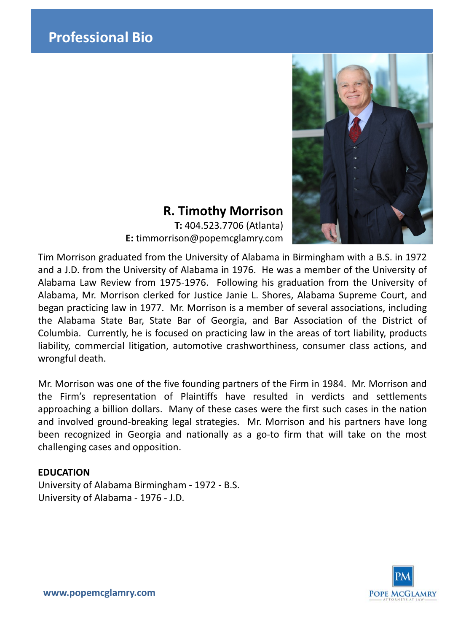

# **R. Timothy Morrison**

**T:** 404.523.7706 (Atlanta) **E:** timmorrison@popemcglamry.com

Tim Morrison graduated from the University of Alabama in Birmingham with a B.S. in 1972 and a J.D. from the University of Alabama in 1976. He was a member of the University of Alabama Law Review from 1975-1976. Following his graduation from the University of Alabama, Mr. Morrison clerked for Justice Janie L. Shores, Alabama Supreme Court, and began practicing law in 1977. Mr. Morrison is a member of several associations, including the Alabama State Bar, State Bar of Georgia, and Bar Association of the District of Columbia. Currently, he is focused on practicing law in the areas of tort liability, products liability, commercial litigation, automotive crashworthiness, consumer class actions, and wrongful death.

Mr. Morrison was one of the five founding partners of the Firm in 1984. Mr. Morrison and the Firm's representation of Plaintiffs have resulted in verdicts and settlements approaching a billion dollars. Many of these cases were the first such cases in the nation and involved ground-breaking legal strategies. Mr. Morrison and his partners have long been recognized in Georgia and nationally as a go-to firm that will take on the most challenging cases and opposition.

## **EDUCATION**

University of Alabama Birmingham - 1972 - B.S. University of Alabama - 1976 - J.D.